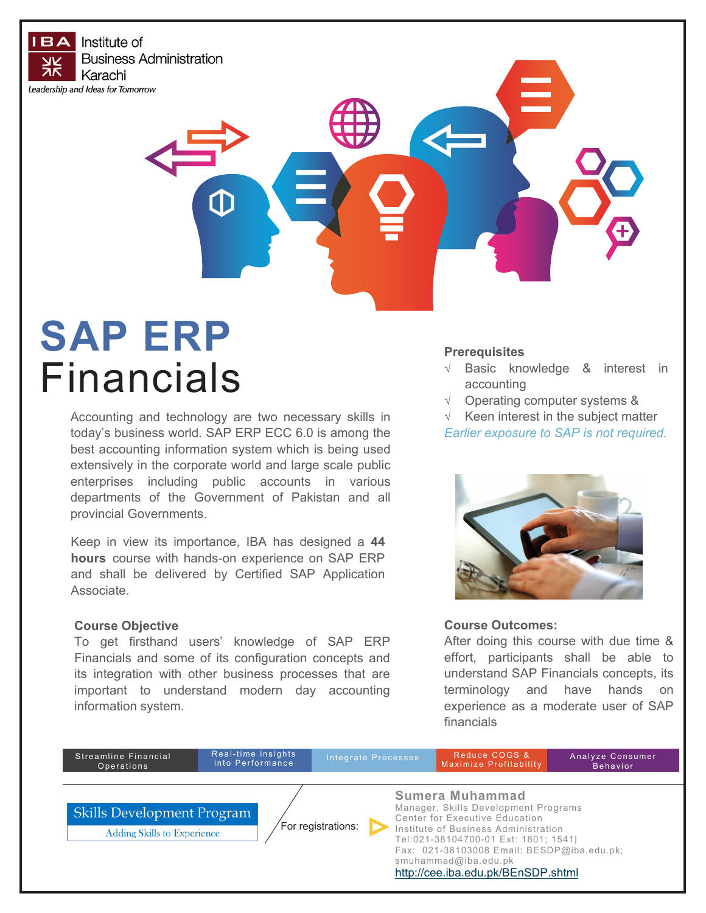**IBA** Institute of **Business Administration** Karachi Leadership and Ideas for Tomorrow

# **SAP ERP** Financials

Accounting and technology are two necessary skills in today's business world. SAP ERP ECC 6.0 is among the best accounting information system which is being used extensively in the corporate world and large scale public enterprises including public accounts in various departments of the Government of Pakistan and all provincial Governments.

Keep in view its importance, IBA has designed a **44 hours** course with hands-on experience on SAP ERP and shall be delivered by Certified SAP Application Associate.

#### **Course Objective**

To get firsthand users' knowledge of SAP ERP Financials and some of its configuration concepts and its integration with other business processes that are important to understand modern day accounting information system.

#### **Prerequisites**

- $\sqrt{ }$  Basic knowledge & interest in accounting
- $\sqrt{ }$  Operating computer systems &

 $\sqrt{ }$  Keen interest in the subject matter *Earlier exposure to SAP is not required.* 



#### **Course Outcomes:**

After doing this course with due time & effort, participants shall be able to understand SAP Financials concepts, its terminology and have hands on experience as a moderate user of SAP financials

| Streamline Financial<br>Operations                                                            | Real-time insights<br>into Performance |  |  | Integrate Processes                                                                                                                                                                                                                                                                   | Reduce COGS &<br>Maximize Profitability | Analyze Consumer<br><b>Behavior</b> |
|-----------------------------------------------------------------------------------------------|----------------------------------------|--|--|---------------------------------------------------------------------------------------------------------------------------------------------------------------------------------------------------------------------------------------------------------------------------------------|-----------------------------------------|-------------------------------------|
|                                                                                               |                                        |  |  |                                                                                                                                                                                                                                                                                       |                                         |                                     |
| <b>Skills Development Program</b><br>For registrations:<br><b>Adding Skills to Experience</b> |                                        |  |  | Sumera Muhammad<br>Manager, Skills Development Programs<br>Center for Executive Education<br>Institute of Business Administration<br>Tel:021-38104700-01 Ext: 1801; 1541)<br>Fax: 021-38103008 Email: BESDP@iba.edu.pk;<br>smuhammad@iba.edu.pk<br>http://cee.iba.edu.pk/BEnSDP.shtml |                                         |                                     |